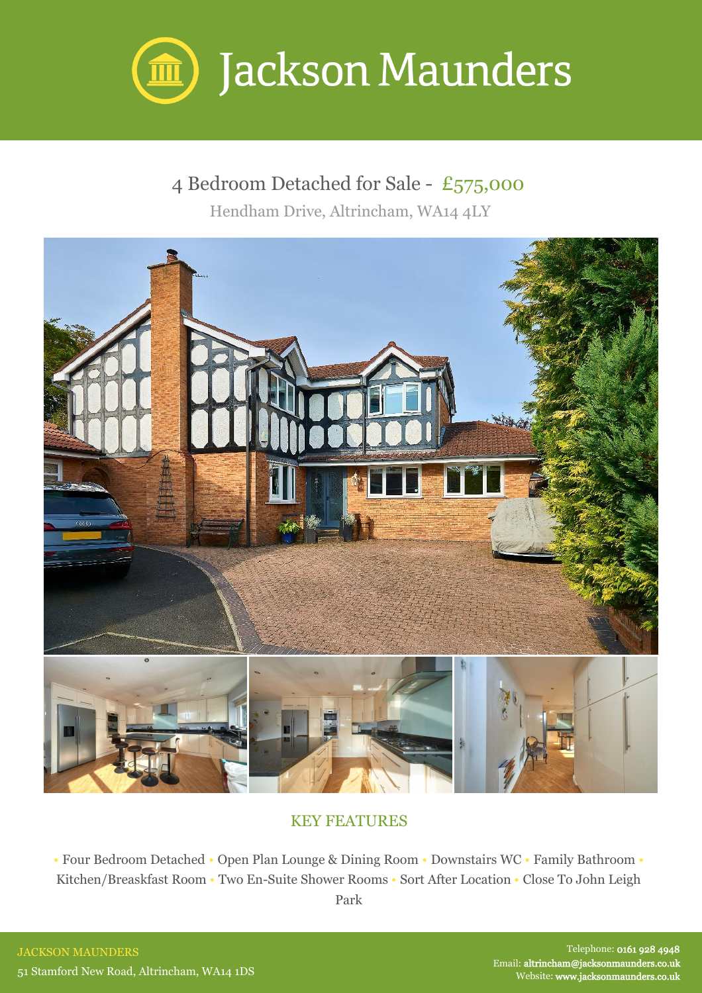

## 4 Bedroom Detached for Sale - £575,000

Hendham Drive, Altrincham, WA14 4LY



## KEY FEATURES

• Four Bedroom Detached • Open Plan Lounge & Dining Room • Downstairs WC • Family Bathroom • Kitchen/Breaskfast Room • Two En-Suite Shower Rooms • Sort After Location • Close To John Leigh

Park